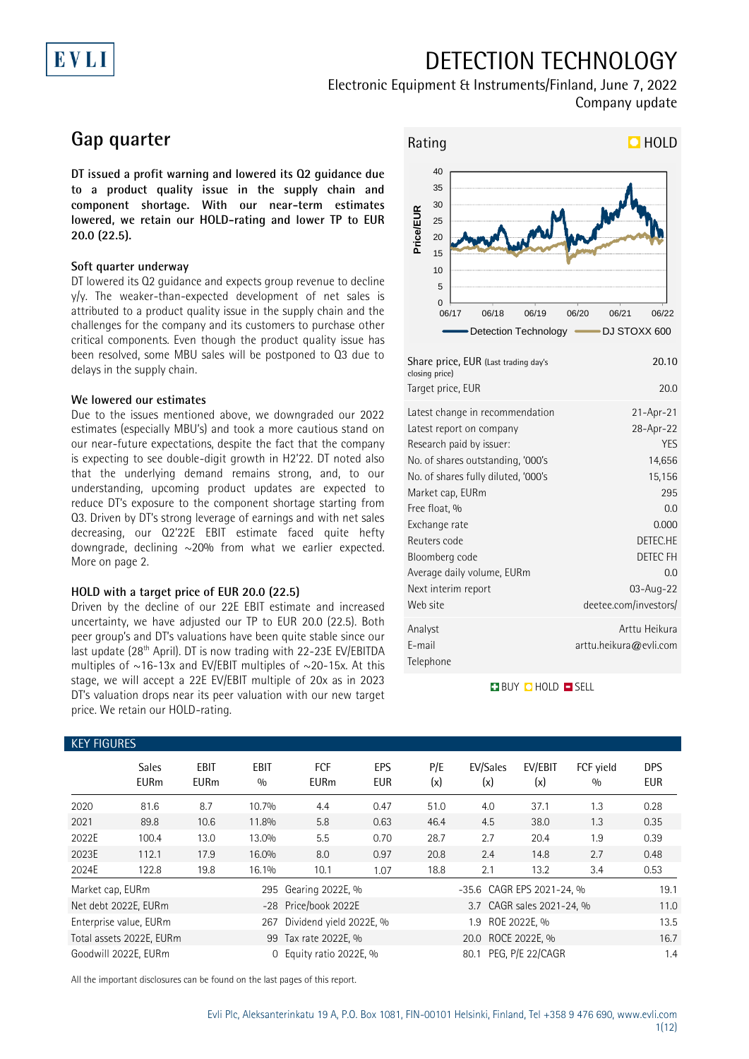## EVLI

# DETECTION TECHNOLOGY

### Electronic Equipment & Instruments/Finland, June 7, 2022 Company update

## **Gap quarter**

**DT issued a profit warning and lowered its Q2 guidance due to a product quality issue in the supply chain and component shortage. With our near-term estimates lowered, we retain our HOLD-rating and lower TP to EUR 20.0 (22.5).**

#### **Soft quarter underway**

DT lowered its Q2 guidance and expects group revenue to decline y/y. The weaker-than-expected development of net sales is attributed to a product quality issue in the supply chain and the challenges for the company and its customers to purchase other critical components. Even though the product quality issue has been resolved, some MBU sales will be postponed to Q3 due to delays in the supply chain.

#### **We lowered our estimates**

Due to the issues mentioned above, we downgraded our 2022 estimates (especially MBU's) and took a more cautious stand on our near-future expectations, despite the fact that the company is expecting to see double-digit growth in H2'22. DT noted also that the underlying demand remains strong, and, to our understanding, upcoming product updates are expected to reduce DT's exposure to the component shortage starting from Q3. Driven by DT's strong leverage of earnings and with net sales decreasing, our Q2'22E EBIT estimate faced quite hefty downgrade, declining ~20% from what we earlier expected. More on page 2.

#### **HOLD with a target price of EUR 20.0 (22.5)**

Driven by the decline of our 22E EBIT estimate and increased uncertainty, we have adjusted our TP to EUR 20.0 (22.5). Both peer group's and DT's valuations have been quite stable since our last update (28<sup>th</sup> April). DT is now trading with 22-23E EV/EBITDA multiples of  $\sim$ 16-13x and EV/EBIT multiples of  $\sim$ 20-15x. At this stage, we will accept a 22E EV/EBIT multiple of 20x as in 2023 DT's valuation drops near its peer valuation with our new target price. We retain our HOLD-rating.



| Target price, EUR<br>Latest change in recommendation<br>Latest report on company<br>Research paid by issuer:<br>No. of shares outstanding, '000's<br>No. of shares fully diluted, '000's<br>Market cap, EURm<br>Free float, %<br>Exchange rate<br>Reuters code<br>Bloomberg code<br>Average daily volume, EURm<br>Next interim report<br>Web site<br>Analyst<br>E-mail | Share price, EUR (Last trading day's<br>closing price) | 20.10                  |
|------------------------------------------------------------------------------------------------------------------------------------------------------------------------------------------------------------------------------------------------------------------------------------------------------------------------------------------------------------------------|--------------------------------------------------------|------------------------|
|                                                                                                                                                                                                                                                                                                                                                                        |                                                        | 20.0                   |
|                                                                                                                                                                                                                                                                                                                                                                        |                                                        | $21 - Apr - 21$        |
|                                                                                                                                                                                                                                                                                                                                                                        |                                                        | 28-Apr-22              |
|                                                                                                                                                                                                                                                                                                                                                                        |                                                        | YES                    |
|                                                                                                                                                                                                                                                                                                                                                                        |                                                        | 14,656                 |
|                                                                                                                                                                                                                                                                                                                                                                        |                                                        | 15,156                 |
|                                                                                                                                                                                                                                                                                                                                                                        |                                                        | 295                    |
|                                                                                                                                                                                                                                                                                                                                                                        |                                                        | 0.0                    |
|                                                                                                                                                                                                                                                                                                                                                                        |                                                        | 0.000                  |
|                                                                                                                                                                                                                                                                                                                                                                        |                                                        | DETEC.HE               |
|                                                                                                                                                                                                                                                                                                                                                                        |                                                        | <b>DETEC FH</b>        |
|                                                                                                                                                                                                                                                                                                                                                                        |                                                        | 0.0                    |
|                                                                                                                                                                                                                                                                                                                                                                        |                                                        | 03-Aug-22              |
|                                                                                                                                                                                                                                                                                                                                                                        |                                                        | deetee.com/investors/  |
|                                                                                                                                                                                                                                                                                                                                                                        |                                                        | Arttu Heikura          |
|                                                                                                                                                                                                                                                                                                                                                                        |                                                        | arttu.heikura@evli.com |
|                                                                                                                                                                                                                                                                                                                                                                        | Telephone                                              |                        |

**BUY DHOLD SELL** 

| <b>KEY FIGURES</b>     |                             |                            |                    |                           |                   |            |                           |                           |                  |                          |
|------------------------|-----------------------------|----------------------------|--------------------|---------------------------|-------------------|------------|---------------------------|---------------------------|------------------|--------------------------|
|                        | <b>Sales</b><br><b>EURm</b> | <b>EBIT</b><br><b>EURm</b> | <b>EBIT</b><br>0/0 | <b>FCF</b><br><b>EURm</b> | EPS<br><b>EUR</b> | P/E<br>(x) | EV/Sales<br>(x)           | EV/EBIT<br>(x)            | FCF yield<br>0/0 | <b>DPS</b><br><b>EUR</b> |
| 2020                   | 81.6                        | 8.7                        | 10.7%              | 4.4                       | 0.47              | 51.0       | 4.0                       | 37.1                      | 1.3              | 0.28                     |
| 2021                   | 89.8                        | 10.6                       | 11.8%              | 5.8                       | 0.63              | 46.4       | 4.5                       | 38.0                      | 1.3              | 0.35                     |
| 2022E                  | 100.4                       | 13.0                       | 13.0%              | 5.5                       | 0.70              | 28.7       | 2.7                       | 20.4                      | 1.9              | 0.39                     |
| 2023E                  | 112.1                       | 17.9                       | 16.0%              | 8.0                       | 0.97              | 20.8       | 2.4                       | 14.8                      | 2.7              | 0.48                     |
| 2024E                  | 122.8                       | 19.8                       | 16.1%              | 10.1                      | 1.07              | 18.8       | 2.1                       | 13.2                      | 3.4              | 0.53                     |
| Market cap, EURm       |                             |                            | 295                | Gearing 2022E, %          |                   |            | -35.6 CAGR EPS 2021-24, % |                           |                  | 19.1                     |
| Net debt 2022E, EURm   |                             |                            |                    | -28 Price/book 2022E      |                   |            |                           | 3.7 CAGR sales 2021-24, % |                  | 11.0                     |
| Enterprise value, EURm |                             |                            | 267                | Dividend yield 2022E, %   |                   |            | 1.9                       | ROE 2022E, %              |                  | 13.5                     |
|                        | Total assets 2022E, EURm    |                            |                    | 99 Tax rate 2022E, %      |                   |            | 20.0 ROCE 2022E, %        |                           |                  | 16.7                     |
| Goodwill 2022E, EURm   |                             |                            | $\Omega$           | Equity ratio 2022E, %     |                   |            | 80.1                      | PEG, P/E 22/CAGR          |                  | 1.4                      |

All the important disclosures can be found on the last pages of this report.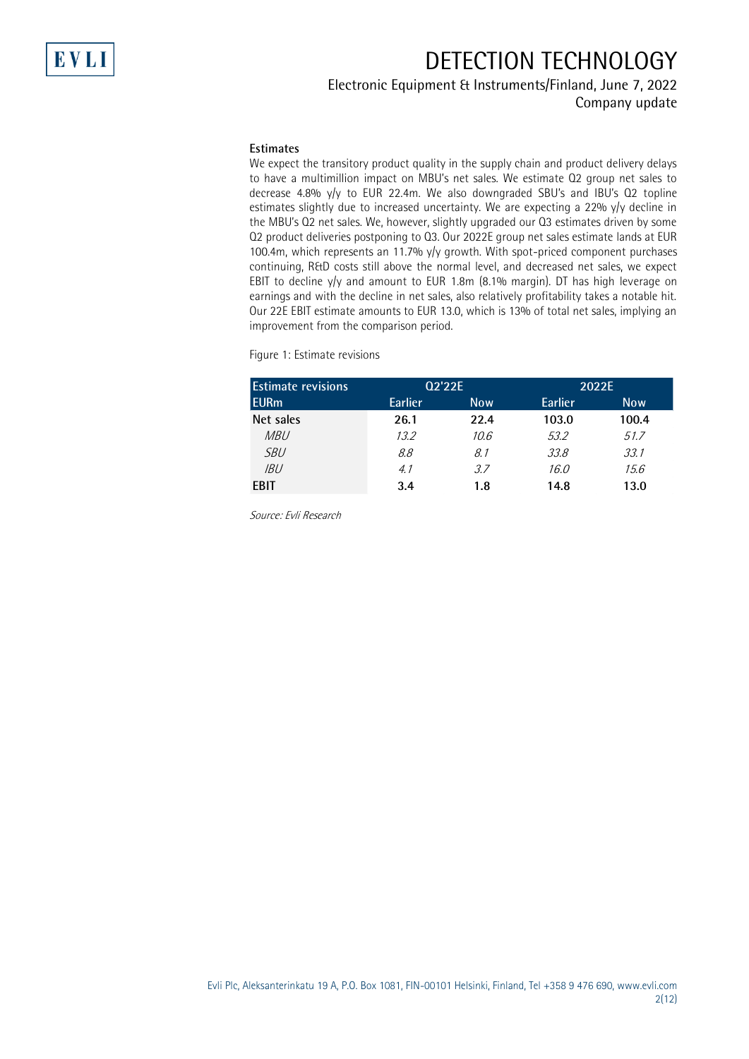## DETECTION TECHNOLOGY

### Electronic Equipment & Instruments/Finland, June 7, 2022

Company update

#### **Estimates**

We expect the transitory product quality in the supply chain and product delivery delays to have a multimillion impact on MBU's net sales. We estimate Q2 group net sales to decrease 4.8% y/y to EUR 22.4m. We also downgraded SBU's and IBU's Q2 topline estimates slightly due to increased uncertainty. We are expecting a 22% y/y decline in the MBU's Q2 net sales. We, however, slightly upgraded our Q3 estimates driven by some Q2 product deliveries postponing to Q3. Our 2022E group net sales estimate lands at EUR 100.4m, which represents an 11.7% y/y growth. With spot-priced component purchases continuing, R&D costs still above the normal level, and decreased net sales, we expect EBIT to decline y/y and amount to EUR 1.8m (8.1% margin). DT has high leverage on earnings and with the decline in net sales, also relatively profitability takes a notable hit. Our 22E EBIT estimate amounts to EUR 13.0, which is 13% of total net sales, implying an improvement from the comparison period.

Figure 1: Estimate revisions

| <b>Estimate</b> revisions |                | Q2'22E     |         | 2022E |
|---------------------------|----------------|------------|---------|-------|
| EURm                      | <b>Earlier</b> | <b>Now</b> | Earlier | Now.  |
| Net sales                 | 26.1           | 22.4       | 103.0   | 100.4 |
| <i>MBU</i>                | 13.2           | 10.6       | 53.2    | 51.7  |
| <i>SBU</i>                | 8.8            | 8.1        | 33.8    | 33.1  |
| IBU                       | 4.1            | 3.7        | 16.0    | 15.6  |
| <b>FBIT</b>               | 3.4            | 1.8        | 14.8    | 13.0  |

Source: Evli Research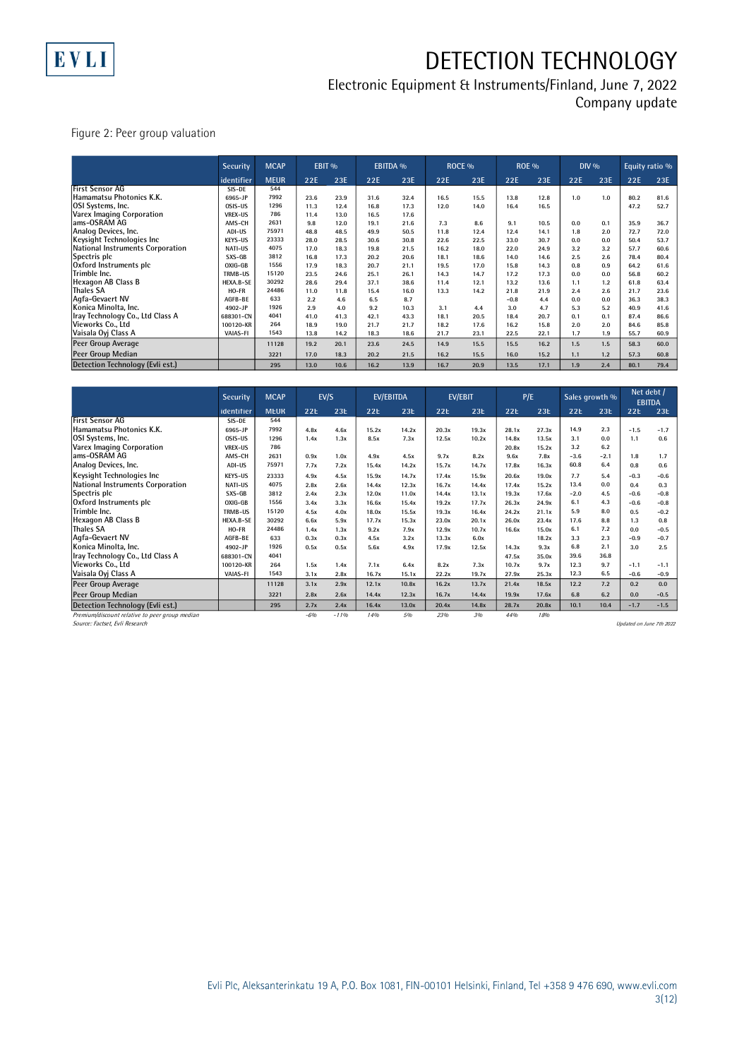

# DETECTION TECHNOLOGY

### Electronic Equipment & Instruments/Finland, June 7, 2022

Company update

Figure 2: Peer group valuation

|                                  | <b>Security</b> | <b>MCAP</b> | EBIT <sub>%</sub> |      | <b>EBITDA %</b> |      | ROCE <sub>%</sub> |      | <b>ROE %</b> |      | $DIV\%$ |       | Equity ratio % |      |
|----------------------------------|-----------------|-------------|-------------------|------|-----------------|------|-------------------|------|--------------|------|---------|-------|----------------|------|
|                                  | identifier      | <b>MEUR</b> | 22E               | 23E  | 22E             | 23E  | 22E               | 23E  | 22E          | 23E  | 22E     | 23E   | 22E            | 23E  |
| First Sensor AG                  | SIS-DE          | 544         |                   |      |                 |      |                   |      |              |      |         |       |                |      |
| Hamamatsu Photonics K.K.         | 6965-JP         | 7992        | 23.6              | 23.9 | 31.6            | 32.4 | 16.5              | 15.5 | 13.8         | 12.8 | 1.0     | 1.0   | 80.2           | 81.6 |
| OSI Systems, Inc.                | OSIS-US         | 1296        | 11.3              | 12.4 | 16.8            | 17.3 | 12.0              | 14.0 | 16.4         | 16.5 |         |       | 47.2           | 52.7 |
| Varex Imaging Corporation        | <b>VREX-US</b>  | 786         | 11.4              | 13.0 | 16.5            | 17.6 |                   |      |              |      |         |       |                |      |
| ams-OSRAM AG                     | AMS-CH          | 2631        | 9.8               | 12.0 | 19.1            | 21.6 | 7.3               | 8.6  | 9.1          | 10.5 | 0.0     | 0.1   | 35.9           | 36.7 |
| Analog Devices, Inc.             | ADI-US          | 75971       | 48.8              | 48.5 | 49.9            | 50.5 | 11.8              | 12.4 | 12.4         | 14.1 | 1.8     | 2.0   | 72.7           | 72.0 |
| Keysight Technologies Inc        | KFYS-US         | 23333       | 28.0              | 28.5 | 30.6            | 30.8 | 22.6              | 22.5 | 33.0         | 30.7 | 0.0     | 0.0   | 50.4           | 53.7 |
| National Instruments Corporation | <b>NATI-US</b>  | 4075        | 17.0              | 18.3 | 19.8            | 21.5 | 16.2              | 18.0 | 22.0         | 24.9 | 3.2     | 3.2   | 57.7           | 60.6 |
| Spectris plc                     | SXS-GB          | 3812        | 16.8              | 17.3 | 20.2            | 20.6 | 18.1              | 18.6 | 14.0         | 14.6 | 2.5     | 2.6   | 78.4           | 80.4 |
| Oxford Instruments plc           | OXIG-GB         | 1556        | 17.9              | 18.3 | 20.7            | 21.1 | 19.5              | 17.0 | 15.8         | 14.3 | 0.8     | 0.9   | 64.2           | 61.6 |
| Trimble Inc.                     | TRMB-US         | 15120       | 23.5              | 24.6 | 25.1            | 26.1 | 14.3              | 14.7 | 17.2         | 17.3 | 0.0     | 0.0   | 56.8           | 60.2 |
| Hexagon AB Class B               | HEXA.B-SE       | 30292       | 28.6              | 29.4 | 37.1            | 38.6 | 11.4              | 12.1 | 13.2         | 13.6 | 1.1     | 1.2   | 61.8           | 63.4 |
| <b>Thales SA</b>                 | HO-FR           | 24486       | 11.0              | 11.8 | 15.4            | 16.0 | 13.3              | 14.2 | 21.8         | 21.9 | 2.4     | 2.6   | 21.7           | 23.6 |
| Agfa-Gevaert NV                  | AGFB-BF         | 633         | 2.2               | 4.6  | 6.5             | 8.7  |                   |      | $-0.8$       | 4.4  | 0.0     | 0.0   | 36.3           | 38.3 |
| Konica Minolta, Inc.             | 4902-JP         | 1926        | 2.9               | 4.0  | 9.2             | 10.3 | 3.1               | 4.4  | 3.0          | 4.7  | 5.3     | 5.2   | 40.9           | 41.6 |
| Iray Technology Co., Ltd Class A | 688301-CN       | 4041        | 41.0              | 41.3 | 42.1            | 43.3 | 18.1              | 20.5 | 18.4         | 20.7 | 0.1     | 0.1   | 87.4           | 86.6 |
| Vieworks Co., Ltd                | 100120-KR       | 264         | 18.9              | 19.0 | 21.7            | 21.7 | 18.2              | 17.6 | 16.2         | 15.8 | 2.0     | 2.0   | 84.6           | 85.8 |
| Vaisala Oyj Class A              | VAIAS-FI        | 1543        | 13.8              | 14.2 | 18.3            | 18.6 | 21.7              | 23.1 | 22.5         | 22.1 | 1.7     | 1.9   | 55.7           | 60.9 |
| Peer Group Average               |                 | 11128       | 19.2              | 20.1 | 23.6            | 24.5 | 14.9              | 15.5 | 15.5         | 16.2 | 1.5     | 1.5   | 58.3           | 60.0 |
| Peer Group Median                |                 | 3221        | 17.0              | 18.3 | 20.2            | 21.5 | 16.2              | 15.5 | 16.0         | 15.2 | 1.1     | $1.2$ | 57.3           | 60.8 |
| Detection Technology (Evli est.) |                 | 295         | 13.0              | 10.6 | 16.2            | 13.9 | 16.7              | 20.9 | 13.5         | 17.1 | 1.9     | 2.4   | 80.1           | 79.4 |

|                                                | Security       | <b>MCAP</b> |       | EV/S    |       | EV/EBITDA |       | <b>EV/EBIT</b> |       | P/E   |        | Sales growth % | Net debt /               | <b>EBITDA</b> |
|------------------------------------------------|----------------|-------------|-------|---------|-------|-----------|-------|----------------|-------|-------|--------|----------------|--------------------------|---------------|
|                                                | identifier     | <b>MEUR</b> | 22E   | 23E     | 22E   | 23E       | 22E   | 23E            | 22E   | 23E   | 22E    | 23E            | 22E                      | 23E           |
| <b>First Sensor AG</b>                         | SIS-DE         | 544         |       |         |       |           |       |                |       |       |        |                |                          |               |
| Hamamatsu Photonics K.K.                       | 6965-JP        | 7992        | 4.8x  | 4.6x    | 15.2x | 14.2x     | 20.3x | 19.3x          | 28.1x | 27.3x | 14.9   | 2.3            | $-1.5$                   | $-1.7$        |
| OSI Systems, Inc.                              | OSIS-US        | 1296        | 1.4x  | 1.3x    | 8.5x  | 7.3x      | 12.5x | 10.2x          | 14.8x | 13.5x | 3.1    | 0.0            | 1.1                      | 0.6           |
| Varex Imaging Corporation                      | <b>VREX-US</b> | 786         |       |         |       |           |       |                | 20.8x | 15.2x | 3.2    | 6.2            |                          |               |
| ams-OSRAM AG                                   | AMS-CH         | 2631        | 0.9x  | 1.0x    | 4.9x  | 4.5x      | 9.7x  | 8.2x           | 9.6x  | 7.8x  | $-3.6$ | $-2.1$         | 1.8                      | 1.7           |
| Analog Devices, Inc.                           | ADI-US         | 75971       | 7.7x  | 7.2x    | 15.4x | 14.2x     | 15.7x | 14.7x          | 17.8x | 16.3x | 60.8   | 6.4            | 0.8                      | 0.6           |
| Keysight Technologies Inc                      | KEYS-US        | 23333       | 4.9x  | 4.5x    | 15.9x | 14.7x     | 17.4x | 15.9x          | 20.6x | 19.0x | 7.7    | 5.4            | $-0.3$                   | $-0.6$        |
| National Instruments Corporation               | NATI-US        | 4075        | 2.8x  | 2.6x    | 14.4x | 12.3x     | 16.7x | 14.4x          | 17.4x | 15.2x | 13.4   | 0.0            | 0.4                      | 0.3           |
| Spectris plc                                   | SXS-GB         | 3812        | 2.4x  | 2.3x    | 12.0x | 11.0x     | 14.4x | 13.1x          | 19.3x | 17.6x | $-2.0$ | 4.5            | $-0.6$                   | $-0.8$        |
| Oxford Instruments plc                         | OXIG-GB        | 1556        | 3.4x  | 3.3x    | 16.6x | 15.4x     | 19.2x | 17.7x          | 26.3x | 24.9x | 6.1    | 4.3            | $-0.6$                   | $-0.8$        |
| Trimble Inc.                                   | TRMB-US        | 15120       | 4.5x  | 4.0x    | 18.0x | 15.5x     | 19.3x | 16.4x          | 24.2x | 21.1x | 5.9    | 8.0            | 0.5                      | $-0.2$        |
| Hexagon AB Class B                             | HEXA.B-SE      | 30292       | 6.6x  | 5.9x    | 17.7x | 15.3x     | 23.0x | 20.1x          | 26.0x | 23.4x | 17.6   | 8.8            | 1.3                      | 0.8           |
| <b>Thales SA</b>                               | HO-FR          | 24486       | 1.4x  | 1.3x    | 9.2x  | 7.9x      | 12.9x | 10.7x          | 16.6x | 15.0x | 6.1    | 7.2            | 0.0                      | $-0.5$        |
| Agfa-Gevaert NV                                | AGFB-BE        | 633         | 0.3x  | 0.3x    | 4.5x  | 3.2x      | 13.3x | 6.0x           |       | 18.2x | 3.3    | 2.3            | $-0.9$                   | $-0.7$        |
| Konica Minolta. Inc.                           | 4902-JP        | 1926        | 0.5x  | 0.5x    | 5.6x  | 4.9x      | 17.9x | 12.5x          | 14.3x | 9.3x  | 6.8    | 2.1            | 3.0                      | 2.5           |
| Iray Technology Co., Ltd Class A               | 688301-CN      | 4041        |       |         |       |           |       |                | 47.5x | 35.0x | 39.6   | 36.8           |                          |               |
| Vieworks Co., Ltd                              | 100120-KR      | 264         | 1.5x  | 1.4x    | 7.1x  | 6.4x      | 8.2x  | 7.3x           | 10.7x | 9.7x  | 12.3   | 9.7            | $-1.1$                   | $-1.1$        |
| Vaisala Oyi Class A                            | VAIAS-FI       | 1543        | 3.1x  | 2.8x    | 16.7x | 15.1x     | 22.2x | 19.7x          | 27.9x | 25.3x | 12.3   | 6.5            | $-0.6$                   | $-0.9$        |
| Peer Group Average                             |                | 11128       | 3.1x  | 2.9x    | 12.1x | 10.8x     | 16.2x | 13.7x          | 21.4x | 18.5x | 12.2   | 7.2            | 0.2                      | 0.0           |
| Peer Group Median                              |                | 3221        | 2.8x  | 2.6x    | 14.4x | 12.3x     | 16.7x | 14.4x          | 19.9x | 17.6x | 6.8    | 6.2            | 0.0                      | $-0.5$        |
| Detection Technology (Evli est.)               |                | 295         | 2.7x  | 2.4x    | 16.4x | 13.0x     | 20.4x | 14.8x          | 28.7x | 20.8x | 10.1   | 10.4           | $-1.7$                   | $-1.5$        |
| Premium/discount relative to peer group median |                |             | $-6%$ | $-1196$ | 14%   | 5%        | 23%   | 3%             | 44%   | 18%   |        |                |                          |               |
| Source: Factset. Evli Research                 |                |             |       |         |       |           |       |                |       |       |        |                | Updated on June 7th 2022 |               |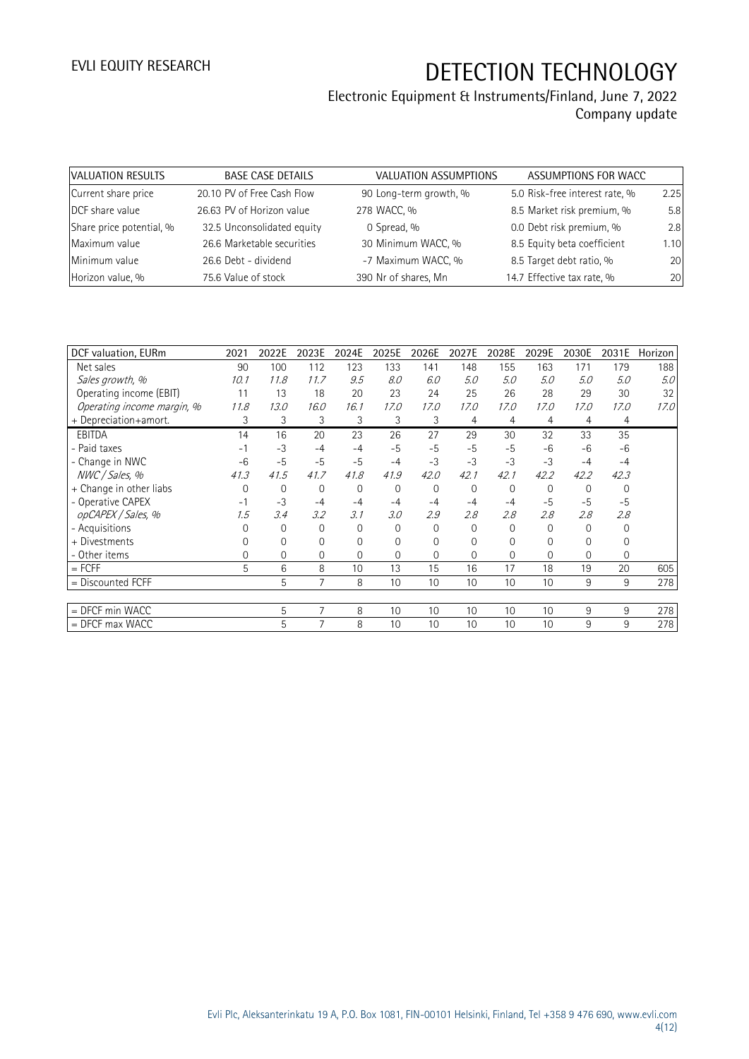## Electronic Equipment & Instruments/Finland, June 7, 2022

Company update

| VALUATION RESULTS        | <b>BASE CASE DETAILS</b>   | VALUATION ASSUMPTIONS  | ASSUMPTIONS FOR WACC           |      |
|--------------------------|----------------------------|------------------------|--------------------------------|------|
| Current share price      | 20.10 PV of Free Cash Flow | 90 Long-term growth, % | 5.0 Risk-free interest rate, % | 2.25 |
| DCF share value          | 26.63 PV of Horizon value  | 278 WACC, %            | 8.5 Market risk premium, %     | 5.8  |
| Share price potential, % | 32.5 Unconsolidated equity | 0 Spread, %            | 0.0 Debt risk premium, %       | 2.8  |
| Maximum value            | 26.6 Marketable securities | 30 Minimum WACC, %     | 8.5 Equity beta coefficient    | 1.10 |
| Minimum value            | 26.6 Debt - dividend       | -7 Maximum WACC, %     | 8.5 Target debt ratio, %       | 20   |
| Horizon value, %         | 75.6 Value of stock        | 390 Nr of shares, Mn   | 14.7 Effective tax rate, %     | 20   |

|          |             |          |          |              |          |             |              |          |          |          | Horizon |
|----------|-------------|----------|----------|--------------|----------|-------------|--------------|----------|----------|----------|---------|
| 90       | 100         | 112      | 123      | 133          | 141      | 148         | 155          | 163      | 171      | 179      | 188     |
| 10.1     | 11.8        | 11.7     | 9.5      | 8.0          | 6.0      | 5.0         | 5.0          | 5.0      | 5.0      | 5.0      | 5.0     |
| 11       | 13          | 18       | 20       | 23           | 24       | 25          | 26           | 28       | 29       | 30       | 32      |
| 11.8     | 13.0        | 16.0     | 16.1     | 17.0         | 17.0     | 17.0        | 17.0         | 17.0     | 17.0     | 17.0     | 17.0    |
| 3        | 3           | 3        | 3        | 3            | 3        | 4           | 4            | 4        | 4        | 4        |         |
| 14       | 16          | 20       | 23       | 26           | 27       | 29          | 30           | 32       | 33       | 35       |         |
| - 1      | $-3$        | $-4$     | $-4$     | $-5$         | $-5$     | $-5$        | $-5$         | $-6$     | $-6$     | $-6$     |         |
| $-6$     | $-5$        | $-5$     | $-5$     | $-4$         | $-3$     | $-3$        | $-3$         | $-3$     | $-4$     | $-4$     |         |
| 41.3     | 41.5        | 41.7     | 41.8     | 41.9         | 42.0     | 42.1        | 42.1         | 42.2     | 42.2     | 42.3     |         |
| $\Omega$ | $\mathbf 0$ | 0        | 0        | $\mathbf{0}$ | $\Omega$ | 0           | $\Omega$     | $\Omega$ | $\Omega$ | $\Omega$ |         |
| $-1$     | $-3$        | $-4$     | $-4$     | $-4$         | $-4$     | $-4$        | $-4$         | $-5$     | $-5$     | $-5$     |         |
| 1.5      | 3.4         | 3.2      | 3.1      | 3.0          | 2.9      | 2.8         | 2.8          | 2.8      | 2.8      | 2.8      |         |
| $\Omega$ | $\mathbf 0$ | 0        | $\Omega$ | 0            | $\Omega$ | $\mathbf 0$ | 0            | $\Omega$ | $\Omega$ | $\Omega$ |         |
| $\Omega$ | 0           | $\Omega$ | $\Omega$ | 0            | 0        | 0           | $\Omega$     | 0        | 0        | 0        |         |
| $\Omega$ | 0           | 0        | $\Omega$ | 0            | $\Omega$ | $\Omega$    | $\mathbf{0}$ | $\Omega$ | 0        | 0        |         |
| 5        | 6           | 8        | 10       | 13           | 15       | 16          | 17           | 18       | 19       | 20       | 605     |
|          | 5           | 7        | 8        | 10           | 10       | 10          | 10           | 10       | 9        | 9        | 278     |
|          |             |          |          |              |          |             |              |          |          |          |         |
|          | 5           | 7        | 8        | 10           | 10       | 10          | 10           | 10       | 9        | 9        | 278     |
|          | 5           | 7        | 8        | 10           | 10       | 10          | 10           | 10       | 9        | 9        | 278     |
|          | 2021        | 2022E    | 2023E    | 2024E        | 2025E    | 2026E       | 2027E        | 2028E    | 2029E    | 2030E    | 2031E   |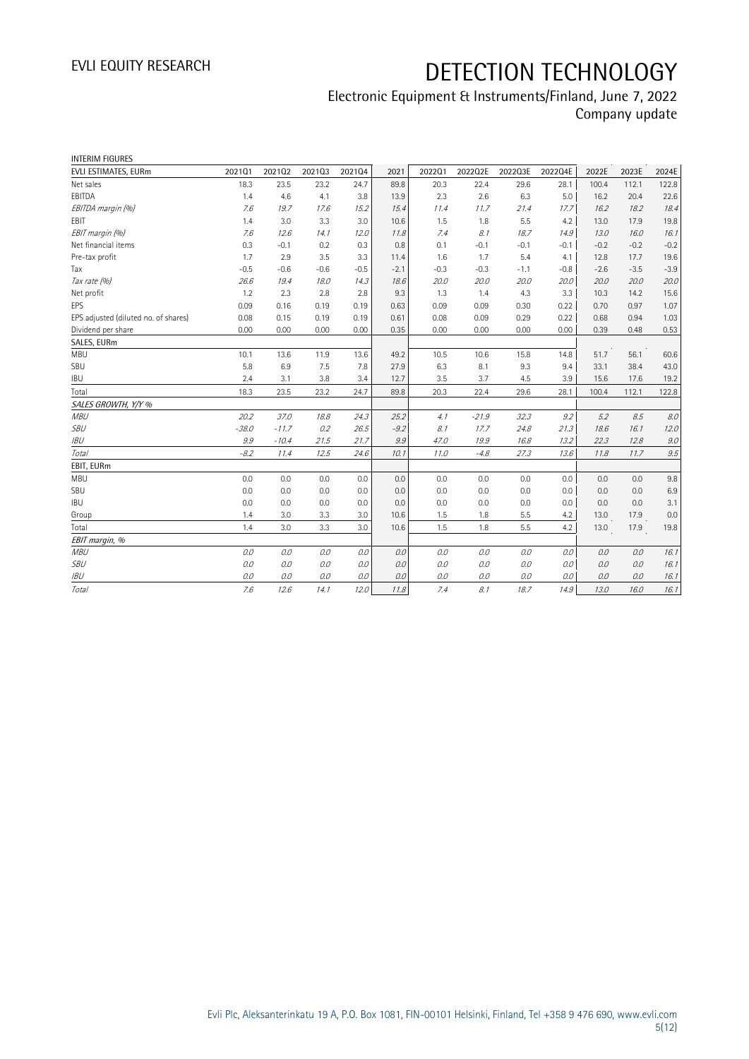### Electronic Equipment & Instruments/Finland, June 7, 2022 Company update

| <b>INTERIM FIGURES</b>               |         |         |        |        |        |        |         |         |         |        |        |        |
|--------------------------------------|---------|---------|--------|--------|--------|--------|---------|---------|---------|--------|--------|--------|
| EVLI ESTIMATES, EURm                 | 202101  | 202102  | 202103 | 202104 | 2021   | 202201 | 2022Q2E | 2022Q3E | 2022Q4E | 2022E  | 2023E  | 2024E  |
| Net sales                            | 18.3    | 23.5    | 23.2   | 24.7   | 89.8   | 20.3   | 22.4    | 29.6    | 28.1    | 100.4  | 112.1  | 122.8  |
| EBITDA                               | 1.4     | 4.6     | 4.1    | 3.8    | 13.9   | 2.3    | 2.6     | 6.3     | 5.0     | 16.2   | 20.4   | 22.6   |
| EBITDA margin (%)                    | 7.6     | 19.7    | 17.6   | 15.2   | 15.4   | 11.4   | 11.7    | 21.4    | 17.7    | 16.2   | 18.2   | 18.4   |
| EBIT                                 | 1.4     | 3.0     | 3.3    | 3.0    | 10.6   | 1.5    | 1.8     | 5.5     | 4.2     | 13.0   | 17.9   | 19.8   |
| EBIT margin (%)                      | 7.6     | 12.6    | 14.1   | 12.0   | 11.8   | 7.4    | 8.1     | 18.7    | 14.9    | 13.0   | 16.0   | 16.1   |
| Net financial items                  | 0.3     | $-0.1$  | 0.2    | 0.3    | 0.8    | 0.1    | $-0.1$  | $-0.1$  | $-0.1$  | $-0.2$ | $-0.2$ | $-0.2$ |
| Pre-tax profit                       | 1.7     | 2.9     | 3.5    | 3.3    | 11.4   | 1.6    | 1.7     | 5.4     | 4.1     | 12.8   | 17.7   | 19.6   |
| Tax                                  | $-0.5$  | $-0.6$  | $-0.6$ | $-0.5$ | $-2.1$ | $-0.3$ | $-0.3$  | $-1.1$  | $-0.8$  | $-2.6$ | $-3.5$ | $-3.9$ |
| Tax rate (%)                         | 26.6    | 19.4    | 18.0   | 14.3   | 18.6   | 20.0   | 20.0    | 20.0    | 20.0    | 20.0   | 20.0   | 20.0   |
| Net profit                           | 1.2     | 2.3     | 2.8    | 2.8    | 9.3    | 1.3    | 1.4     | 4.3     | 3.3     | 10.3   | 14.2   | 15.6   |
| EPS                                  | 0.09    | 0.16    | 0.19   | 0.19   | 0.63   | 0.09   | 0.09    | 0.30    | 0.22    | 0.70   | 0.97   | 1.07   |
| EPS adjusted (diluted no. of shares) | 0.08    | 0.15    | 0.19   | 0.19   | 0.61   | 0.08   | 0.09    | 0.29    | 0.22    | 0.68   | 0.94   | 1.03   |
| Dividend per share                   | 0.00    | 0.00    | 0.00   | 0.00   | 0.35   | 0.00   | 0.00    | 0.00    | 0.00    | 0.39   | 0.48   | 0.53   |
| SALES, EURm                          |         |         |        |        |        |        |         |         |         |        |        |        |
| <b>MBU</b>                           | 10.1    | 13.6    | 11.9   | 13.6   | 49.2   | 10.5   | 10.6    | 15.8    | 14.8    | 51.7   | 56.1   | 60.6   |
| SBU                                  | 5.8     | 6.9     | 7.5    | 7.8    | 27.9   | 6.3    | 8.1     | 9.3     | 9.4     | 33.1   | 38.4   | 43.0   |
| <b>IBU</b>                           | 2.4     | 3.1     | 3.8    | 3.4    | 12.7   | 3.5    | 3.7     | 4.5     | 3.9     | 15.6   | 17.6   | 19.2   |
| Total                                | 18.3    | 23.5    | 23.2   | 24.7   | 89.8   | 20.3   | 22.4    | 29.6    | 28.1    | 100.4  | 112.1  | 122.8  |
| SALES GROWTH, Y/Y %                  |         |         |        |        |        |        |         |         |         |        |        |        |
| <b>MBU</b>                           | 20.2    | 37.0    | 18.8   | 24.3   | 25.2   | 4.1    | $-21.9$ | 32.3    | 9.2     | 5.2    | 8.5    | 8.0    |
| <b>SBU</b>                           | $-38.0$ | $-11.7$ | 0.2    | 26.5   | $-9.2$ | 8.1    | 17.7    | 24.8    | 21.3    | 18.6   | 16.1   | 12.0   |
| <b>IBU</b>                           | 9.9     | $-10.4$ | 21.5   | 21.7   | 9.9    | 47.0   | 19.9    | 16.8    | 13.2    | 22.3   | 12.8   | 9.0    |
| Total                                | $-8.2$  | 11.4    | 12.5   | 24.6   | 10.1   | 11.0   | $-4.8$  | 27.3    | 13.6    | 11.8   | 11.7   | 9.5    |
| EBIT, EURm                           |         |         |        |        |        |        |         |         |         |        |        |        |
| <b>MBU</b>                           | 0.0     | 0.0     | 0.0    | 0.0    | 0.0    | 0.0    | 0.0     | 0.0     | 0.0     | 0.0    | 0.0    | 9.8    |
| SBU                                  | 0.0     | 0.0     | 0.0    | 0.0    | 0.0    | 0.0    | 0.0     | 0.0     | 0.0     | 0.0    | 0.0    | 6.9    |
| <b>IBU</b>                           | 0.0     | 0.0     | 0.0    | 0.0    | 0.0    | 0.0    | 0.0     | 0.0     | 0.0     | 0.0    | 0.0    | 3.1    |
| Group                                | 1.4     | 3.0     | 3.3    | 3.0    | 10.6   | 1.5    | 1.8     | 5.5     | 4.2     | 13.0   | 17.9   | 0.0    |
| Total                                | 1.4     | 3.0     | 3.3    | 3.0    | 10.6   | 1.5    | 1.8     | 5.5     | 4.2     | 13.0   | 17.9   | 19.8   |
| EBIT margin, %                       |         |         |        |        |        |        |         |         |         |        |        |        |
| <b>MBU</b>                           | 0.0     | 0.0     | 0.0    | 0.0    | 0.0    | 0.0    | 0.0     | 0.0     | 0.0     | 0.0    | 0.0    | 16.1   |
| <b>SBU</b>                           | 0.0     | 0.0     | 0.0    | 0.0    | 0.0    | 0.0    | 0.0     | 0.0     | 0.0     | 0.0    | 0.0    | 16.1   |
| <b>IBU</b>                           | 0.0     | 0.0     | 0.0    | 0.0    | 0.0    | 0.0    | 0.0     | 0.0     | 0.0     | 0.0    | 0.0    | 16.1   |
| Total                                | 7.6     | 12.6    | 14.1   | 12.0   | 11.8   | 7.4    | 8.1     | 18.7    | 14.9    | 13.0   | 16.0   | 16.1   |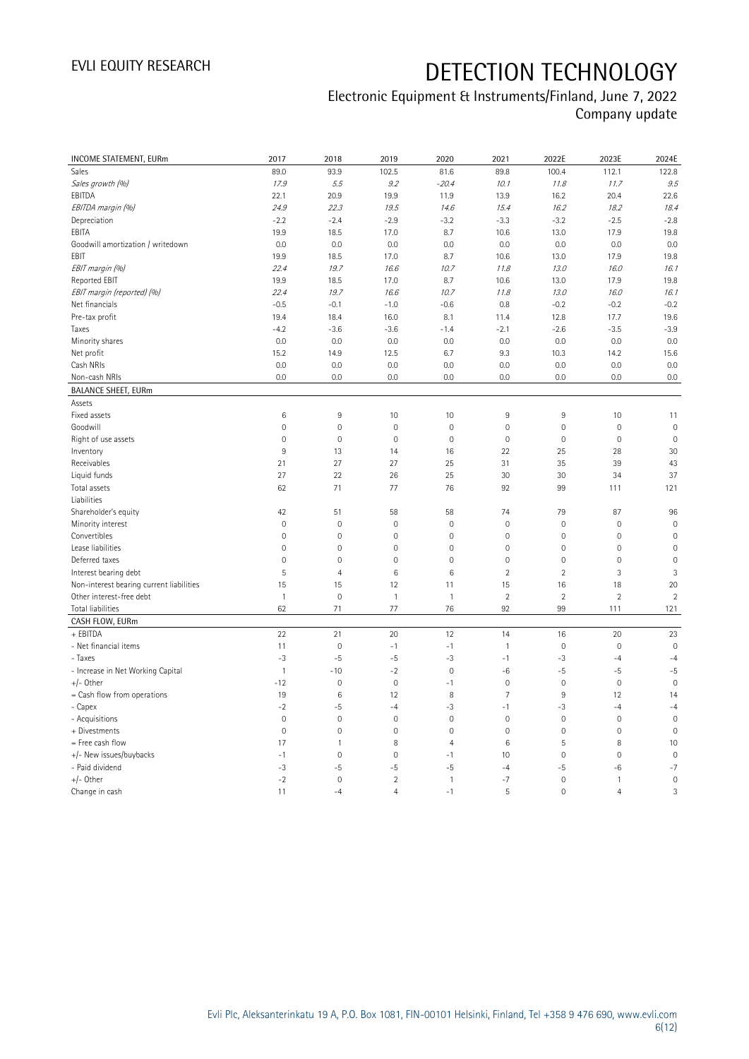### Electronic Equipment & Instruments/Finland, June 7, 2022 Company update

| INCOME STATEMENT, EURm                   | 2017                | 2018           | 2019                | 2020           | 2021           | 2022E               | 2023E          | 2024E               |
|------------------------------------------|---------------------|----------------|---------------------|----------------|----------------|---------------------|----------------|---------------------|
| Sales                                    | 89.0                | 93.9           | 102.5               | 81.6           | 89.8           | 100.4               | 112.1          | 122.8               |
| Sales growth (%)                         | 17.9                | 5.5            | 9.2                 | $-20.4$        | 10.1           | 11.8                | 11.7           | 9.5                 |
| EBITDA                                   | 22.1                | 20.9           | 19.9                | 11.9           | 13.9           | 16.2                | 20.4           | 22.6                |
| EBITDA margin (%)                        | 24.9                | 22.3           | 19.5                | 14.6           | 15.4           | 16.2                | 18.2           | 18.4                |
| Depreciation                             | $-2.2$              | $-2.4$         | $-2.9$              | $-3.2$         | $-3.3$         | $-3.2$              | $-2.5$         | $-2.8$              |
| EBITA                                    | 19.9                | 18.5           | 17.0                | 8.7            | 10.6           | 13.0                | 17.9           | 19.8                |
| Goodwill amortization / writedown        | 0.0                 | 0.0            | 0.0                 | 0.0            | 0.0            | 0.0                 | 0.0            | 0.0                 |
| EBIT                                     | 19.9                | 18.5           | 17.0                | 8.7            | 10.6           | 13.0                | 17.9           | 19.8                |
| EBIT margin (%)                          | 22.4                | 19.7           | 16.6                | 10.7           | 11.8           | 13.0                | 16.0           | 16.1                |
| <b>Reported EBIT</b>                     | 19.9                | 18.5           | 17.0                | 8.7            | 10.6           | 13.0                | 17.9           | 19.8                |
| EBIT margin (reported) (%)               | 22.4                | 19.7           | 16.6                | 10.7           | 11.8           | 13.0                | 16.0           | 16.1                |
| Net financials                           | $-0.5$              | $-0.1$         | $-1.0$              | $-0.6$         | 0.8            | $-0.2$              | $-0.2$         | $-0.2$              |
| Pre-tax profit                           | 19.4                | 18.4           | 16.0                | 8.1            | 11.4           | 12.8                | 17.7           | 19.6                |
| Taxes                                    | $-4.2$              | $-3.6$         | $-3.6$              | $-1.4$         | $-2.1$         | $-2.6$              | $-3.5$         | $-3.9$              |
| Minority shares                          | 0.0                 | 0.0            | 0.0                 | 0.0            | 0.0            | 0.0                 | 0.0            | 0.0                 |
| Net profit                               | 15.2                | 14.9           | 12.5                | 6.7            | 9.3            | 10.3                | 14.2           | 15.6                |
| Cash NRIs                                | 0.0                 | 0.0            | 0.0                 | 0.0            | 0.0            | 0.0                 | 0.0            | 0.0                 |
| Non-cash NRIs                            | 0.0                 | 0.0            | 0.0                 | 0.0            | 0.0            | 0.0                 | 0.0            | 0.0                 |
| <b>BALANCE SHEET, EURm</b>               |                     |                |                     |                |                |                     |                |                     |
| Assets                                   |                     |                |                     |                |                |                     |                |                     |
| Fixed assets                             | 6                   | $9\,$          | 10                  | 10             | 9              | 9                   | 10             | 11                  |
| Goodwill                                 | $\mathbb O$         | $\mathbf 0$    | $\mathbf 0$         | $\mathbf 0$    | $\mathbf 0$    | $\mathsf{O}\xspace$ | $\mathbf 0$    | $\mathbf 0$         |
| Right of use assets                      | $\mathbb O$         | $\mathbf 0$    | $\mathbf 0$         | $\mathbf 0$    | $\mathbf 0$    | $\mathsf{O}\xspace$ | $\mathbf 0$    | $\mathbf 0$         |
| Inventory                                | $9\,$               | 13             | 14                  | 16             | 22             | 25                  | 28             | 30                  |
| Receivables                              | 21                  | 27             | 27                  | 25             | 31             | 35                  | 39             | 43                  |
| Liquid funds                             | 27                  | 22             | 26                  | 25             | 30             | 30                  | 34             | 37                  |
| Total assets                             | 62                  | 71             | 77                  | 76             | 92             | 99                  | 111            | 121                 |
| Liabilities                              |                     |                |                     |                |                |                     |                |                     |
| Shareholder's equity                     | 42                  | 51             | 58                  | 58             | 74             | 79                  | 87             | 96                  |
| Minority interest                        | $\mathsf{O}\xspace$ | $\mathbf 0$    | $\mathbf 0$         | $\mathbf 0$    | $\mathbf 0$    | 0                   | $\mathbf 0$    | $\mathsf{O}\xspace$ |
| Convertibles                             | $\mathbb O$         | $\mathbf 0$    | $\mathbf 0$         | $\mathbf 0$    | $\mathbf 0$    | $\mathsf{O}\xspace$ | $\mathbf 0$    | $\mathbf 0$         |
| Lease liabilities                        | $\mathsf{O}\xspace$ | $\mathbf 0$    | $\mathbf 0$         | $\mathbf 0$    | $\mathbf 0$    | $\mathsf{O}\xspace$ | $\mathbf 0$    | $\mathbf 0$         |
| Deferred taxes                           | $\mathbf 0$         | $\overline{0}$ | $\mathbf{0}$        | $\mathbf 0$    | $\overline{0}$ | $\mathbf 0$         | $\mathbf{0}$   | $\overline{0}$      |
| Interest bearing debt                    | 5                   | $\overline{4}$ | $\,6\,$             | 6              | $\overline{2}$ | $\overline{2}$      | $\sqrt{3}$     | $\sqrt{3}$          |
| Non-interest bearing current liabilities | 15                  | 15             | 12                  | 11             | 15             | 16                  | 18             | 20                  |
| Other interest-free debt                 | $\overline{1}$      | $\mathbf 0$    | $\mathbf{1}$        | $\mathbf{1}$   | $\overline{2}$ | $\overline{2}$      | $\overline{2}$ | $\overline{2}$      |
| Total liabilities                        | 62                  | 71             | 77                  | 76             | 92             | 99                  | 111            | 121                 |
| CASH FLOW, EURm                          |                     |                |                     |                |                |                     |                |                     |
| + EBITDA                                 | 22                  | 21             | 20                  | 12             | 14             | 16                  | 20             | 23                  |
| - Net financial items                    | 11                  | $\mathbf 0$    | $-1$                | $-1$           | $\mathbf{1}$   | $\mathsf{O}\xspace$ | $\mathbf 0$    | $\mathbf 0$         |
| - Taxes                                  | $-3$                | $-5$           | $-5$                | $-3$           | $-1$           | $-3$                | $-4$           | $-4$                |
| - Increase in Net Working Capital        | $\overline{1}$      | $-10$          | $-2$                | $\mathbf 0$    | $-6$           | $-5$                | $-5$           | $-5$                |
| $+/-$ Other                              | $-12$               | $\mathbf 0$    | $\mathsf{O}\xspace$ | $-1$           | $\mathbf 0$    | $\mathsf{O}\xspace$ | $\mathbf 0$    | $\mathbf 0$         |
| = Cash flow from operations              | 19                  | $\,6\,$        | 12                  | 8              | $\overline{7}$ | 9                   | 12             | 14                  |
| - Capex                                  | $-2$                | $-5$           | $-4$                | $-3$           | $-1$           | $-3$                | $-4$           | $-4$                |
| - Acquisitions                           | $\mathbf 0$         | $\mathbf 0$    | $\mathbf{0}$        | $\mathbf 0$    | $\mathbf 0$    | $\mathbf 0$         | $\mathbf{0}$   | $\mathbb O$         |
| + Divestments                            | $\mathbb O$         | $\mathbf 0$    | $\mathsf{O}\xspace$ | $\mathbf 0$    | $\mathbf 0$    | $\mathsf{O}\xspace$ | $\mathbf 0$    | $\mathbf 0$         |
| = Free cash flow                         | 17                  | $\mathbf{1}$   | 8                   | $\overline{4}$ | $\,6$          | 5                   | 8              | 10                  |
| +/- New issues/buybacks                  | $-1$                | $\mathbf 0$    | $\mathbf 0$         | $-1$           | 10             | $\mathbf 0$         | $\mathbf 0$    | $\mathbf 0$         |
| - Paid dividend                          | $-3$                | -5             | $-5$                | -5             | $-4$           | -5                  | -6             | $-7$                |
| $+/-$ Other                              | $-2$                | $\mathbf 0$    | $\overline{2}$      | $\mathbf{1}$   | $-7$           | 0                   | $\mathbf{1}$   | $\mathbf 0$         |
| Change in cash                           | 11                  | $-4$           | $\overline{4}$      | $-1$           | 5              | $\mathbf 0$         | $\overline{4}$ | 3                   |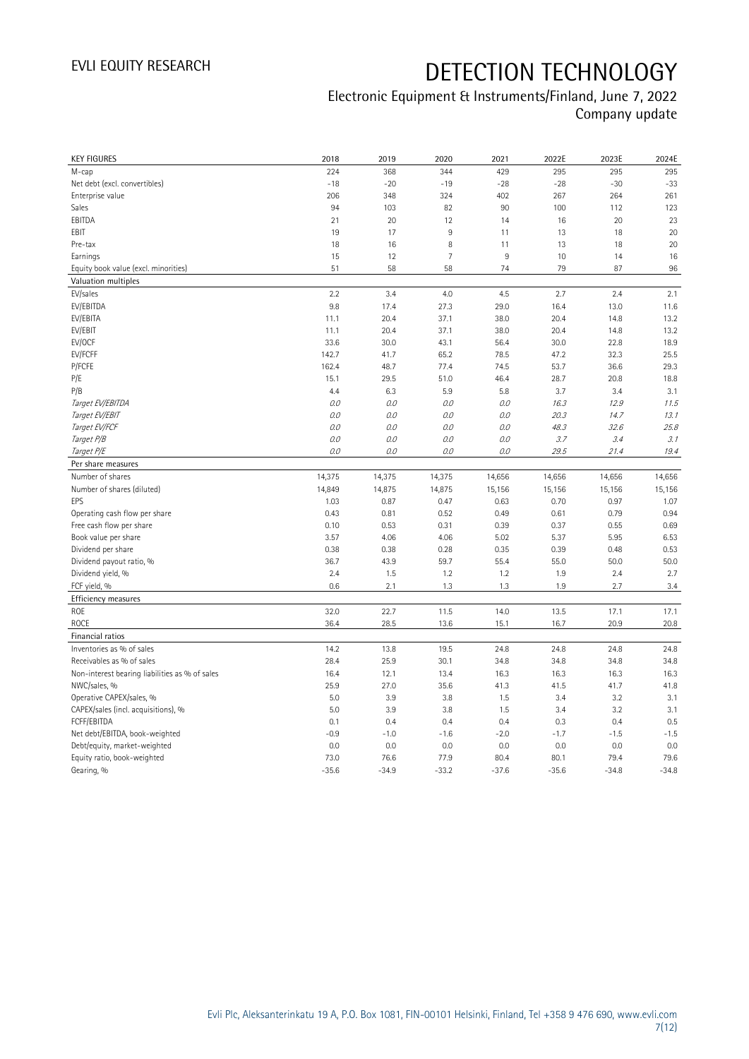### Electronic Equipment & Instruments/Finland, June 7, 2022 Company update

| <b>KEY FIGURES</b>                             | 2018    | 2019    | 2020           | 2021    | 2022E   | 2023E   | 2024E   |
|------------------------------------------------|---------|---------|----------------|---------|---------|---------|---------|
| M-cap                                          | 224     | 368     | 344            | 429     | 295     | 295     | 295     |
| Net debt (excl. convertibles)                  | $-18$   | $-20$   | $-19$          | $-28$   | $-28$   | $-30$   | $-33$   |
| Enterprise value                               | 206     | 348     | 324            | 402     | 267     | 264     | 261     |
| Sales                                          | 94      | 103     | 82             | 90      | 100     | 112     | 123     |
| EBITDA                                         | 21      | 20      | 12             | 14      | 16      | 20      | 23      |
| EBIT                                           | 19      | 17      | 9              | 11      | 13      | 18      | 20      |
| Pre-tax                                        | 18      | 16      | 8              | 11      | 13      | 18      | 20      |
| Earnings                                       | 15      | 12      | $\overline{7}$ | 9       | 10      | 14      | 16      |
| Equity book value (excl. minorities)           | 51      | 58      | 58             | 74      | 79      | 87      | 96      |
| Valuation multiples                            |         |         |                |         |         |         |         |
| EV/sales                                       | 2.2     | 3.4     | 4.0            | 4.5     | 2.7     | 2.4     | 2.1     |
| EV/EBITDA                                      | 9.8     | 17.4    | 27.3           | 29.0    | 16.4    | 13.0    | 11.6    |
| EV/EBITA                                       | 11.1    | 20.4    | 37.1           | 38.0    | 20.4    | 14.8    | 13.2    |
| EV/EBIT                                        | 11.1    | 20.4    | 37.1           | 38.0    | 20.4    | 14.8    | 13.2    |
| EV/OCF                                         | 33.6    | 30.0    | 43.1           | 56.4    | 30.0    | 22.8    | 18.9    |
| EV/FCFF                                        | 142.7   | 41.7    | 65.2           | 78.5    | 47.2    | 32.3    | 25.5    |
| P/FCFE                                         | 162.4   | 48.7    | 77.4           | 74.5    | 53.7    | 36.6    | 29.3    |
| P/E                                            | 15.1    | 29.5    | 51.0           | 46.4    | 28.7    | 20.8    | 18.8    |
| P/B                                            | 4.4     | 6.3     | 5.9            | 5.8     | 3.7     | 3.4     | 3.1     |
| Target EV/EBITDA                               | 0.0     | 0.0     | 0.0            | O.O     | 16.3    | 12.9    | 11.5    |
| Target EV/EBIT                                 | O.O     | 0.0     | 0.0            | 0.0     | 20.3    | 14.7    | 13.1    |
| Target EV/FCF                                  | 0.0     | $O.O$   | 0.0            | $O.O$   | 48.3    | 32.6    | 25.8    |
| Target P/B                                     | $0.0\,$ |         |                |         | 3.7     |         |         |
|                                                | 0.0     | 0.0     | 0.0            | 0.0     |         | 3.4     | 3.1     |
| Target P/E                                     |         | 0.0     | 0.0            | 0.0     | 29.5    | 21.4    | 19.4    |
| Per share measures                             |         |         |                | 14,656  | 14,656  | 14,656  |         |
|                                                |         |         |                |         |         |         |         |
| Number of shares                               | 14,375  | 14,375  | 14,375         |         |         |         | 14,656  |
| Number of shares (diluted)                     | 14,849  | 14,875  | 14,875         | 15,156  | 15,156  | 15,156  | 15,156  |
| EPS                                            | 1.03    | 0.87    | 0.47           | 0.63    | 0.70    | 0.97    | 1.07    |
| Operating cash flow per share                  | 0.43    | 0.81    | 0.52           | 0.49    | 0.61    | 0.79    | 0.94    |
| Free cash flow per share                       | 0.10    | 0.53    | 0.31           | 0.39    | 0.37    | 0.55    | 0.69    |
| Book value per share                           | 3.57    | 4.06    | 4.06           | 5.02    | 5.37    | 5.95    | 6.53    |
| Dividend per share                             | 0.38    | 0.38    | 0.28           | 0.35    | 0.39    | 0.48    | 0.53    |
| Dividend payout ratio, %                       | 36.7    | 43.9    | 59.7           | 55.4    | 55.0    | 50.0    | 50.0    |
| Dividend yield, %                              | 2.4     | 1.5     | 1.2            | 1.2     | 1.9     | 2.4     | 2.7     |
| FCF yield, %                                   | 0.6     | 2.1     | 1.3            | 1.3     | 1.9     | 2.7     | 3.4     |
| Efficiency measures                            |         |         |                |         |         |         |         |
| ROE                                            | 32.0    | 22.7    | 11.5           | 14.0    | 13.5    | 17.1    | 17.1    |
| <b>ROCE</b>                                    | 36.4    | 28.5    | 13.6           | 15.1    | 16.7    | 20.9    | 20.8    |
| Financial ratios                               |         |         |                |         |         |         |         |
| Inventories as % of sales                      | 14.2    | 13.8    | 19.5           | 24.8    | 24.8    | 24.8    | 24.8    |
| Receivables as % of sales                      | 28.4    | 25.9    | 30.1           | 34.8    | 34.8    | 34.8    | 34.8    |
| Non-interest bearing liabilities as % of sales | 16.4    | 12.1    | 13.4           | 16.3    | 16.3    | 16.3    | 16.3    |
| NWC/sales, %                                   | 25.9    | 27.0    | 35.6           | 41.3    | 41.5    | 41.7    | 41.8    |
| Operative CAPEX/sales, %                       | 5.0     | 3.9     | 3.8            | 1.5     | 3.4     | 3.2     | 3.1     |
| CAPEX/sales (incl. acquisitions), %            | 5.0     | 3.9     | 3.8            | 1.5     | 3.4     | 3.2     | 3.1     |
| FCFF/EBITDA                                    | 0.1     | 0.4     | 0.4            | 0.4     | 0.3     | 0.4     | 0.5     |
| Net debt/EBITDA, book-weighted                 | $-0.9$  | $-1.0$  | $-1.6$         | $-2.0$  | $-1.7$  | $-1.5$  | $-1.5$  |
| Debt/equity, market-weighted                   | 0.0     | 0.0     | 0.0            | 0.0     | 0.0     | 0.0     | 0.0     |
| Equity ratio, book-weighted                    | 73.0    | 76.6    | 77.9           | 80.4    | 80.1    | 79.4    | 79.6    |
| Gearing, %                                     | $-35.6$ | $-34.9$ | $-33.2$        | $-37.6$ | $-35.6$ | $-34.8$ | $-34.8$ |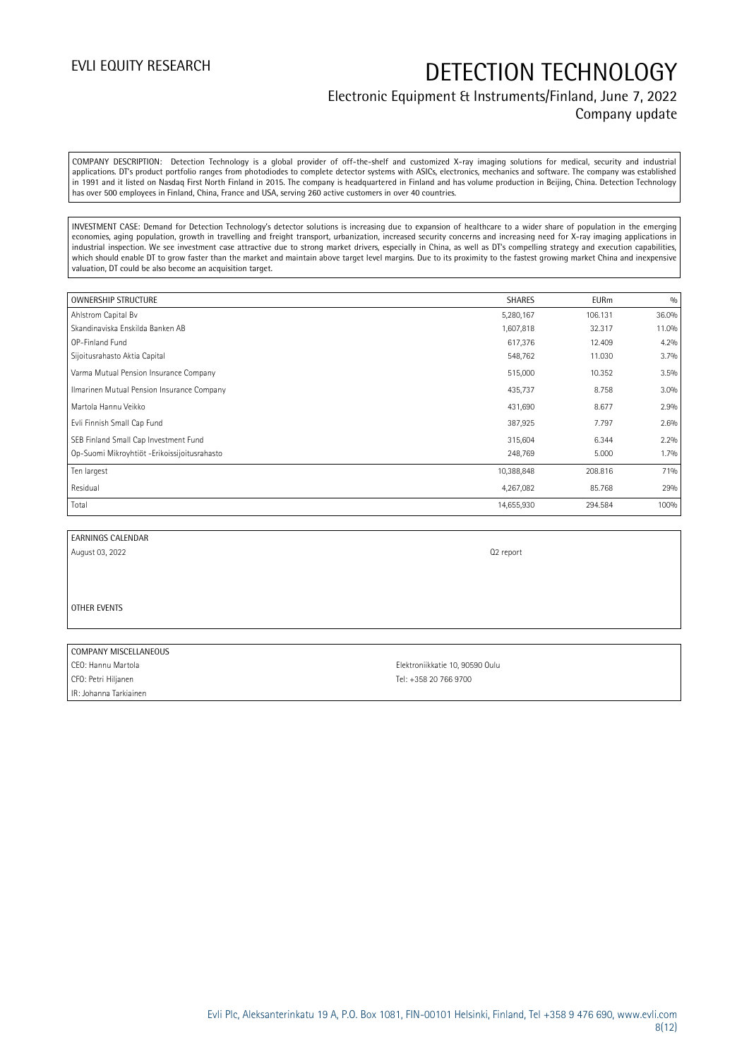### Electronic Equipment & Instruments/Finland, June 7, 2022 Company update

COMPANY DESCRIPTION: Detection Technology is a global provider of off-the-shelf and customized X-ray imaging solutions for medical, security and industrial applications. DT's product portfolio ranges from photodiodes to complete detector systems with ASICs, electronics, mechanics and software. The company was established in 1991 and it listed on Nasdaq First North Finland in 2015. The company is headquartered in Finland and has volume production in Beijing, China. Detection Technology has over 500 employees in Finland, China, France and USA, serving 260 active customers in over 40 countries.

INVESTMENT CASE: Demand for Detection Technology's detector solutions is increasing due to expansion of healthcare to a wider share of population in the emerging economies, aging population, growth in travelling and freight transport, urbanization, increased security concerns and increasing need for X-ray imaging applications in industrial inspection. We see investment case attractive due to strong market drivers, especially in China, as well as DT's compelling strategy and execution capabilities, which should enable DT to grow faster than the market and maintain above target level margins. Due to its proximity to the fastest growing market China and inexpensive valuation, DT could be also become an acquisition target.

| <b>OWNERSHIP STRUCTURE</b>                   | <b>SHARES</b> | <b>EURm</b> | 0/0   |
|----------------------------------------------|---------------|-------------|-------|
| Ahlstrom Capital Bv                          | 5,280,167     | 106.131     | 36.0% |
| Skandinaviska Enskilda Banken AB             | 1,607,818     | 32.317      | 11.0% |
| OP-Finland Fund                              | 617,376       | 12.409      | 4.2%  |
| Sijoitusrahasto Aktia Capital                | 548,762       | 11.030      | 3.7%  |
| Varma Mutual Pension Insurance Company       | 515,000       | 10.352      | 3.5%  |
| Ilmarinen Mutual Pension Insurance Company   | 435,737       | 8.758       | 3.0%  |
| Martola Hannu Veikko                         | 431,690       | 8.677       | 2.9%  |
| Evli Finnish Small Cap Fund                  | 387,925       | 7.797       | 2.6%  |
| SEB Finland Small Cap Investment Fund        | 315,604       | 6.344       | 2.2%  |
| Op-Suomi Mikroyhtiöt -Erikoissijoitusrahasto | 248,769       | 5.000       | 1.7%  |
| Ten largest                                  | 10,388,848    | 208.816     | 71%   |
| Residual                                     | 4,267,082     | 85.768      | 29%   |
| Total                                        | 14,655,930    | 294.584     | 100%  |

EARNINGS CALENDAR

August 03, 2022 Q2 report

OTHER EVENTS

#### COMPANY MISCELLANEOUS

CFO: Petri Hiljanen Tel: +358 20 766 9700 IR: Johanna Tarkiainen

CEO: Hannu Martola Elektroniikkatie 10, 90590 Oulu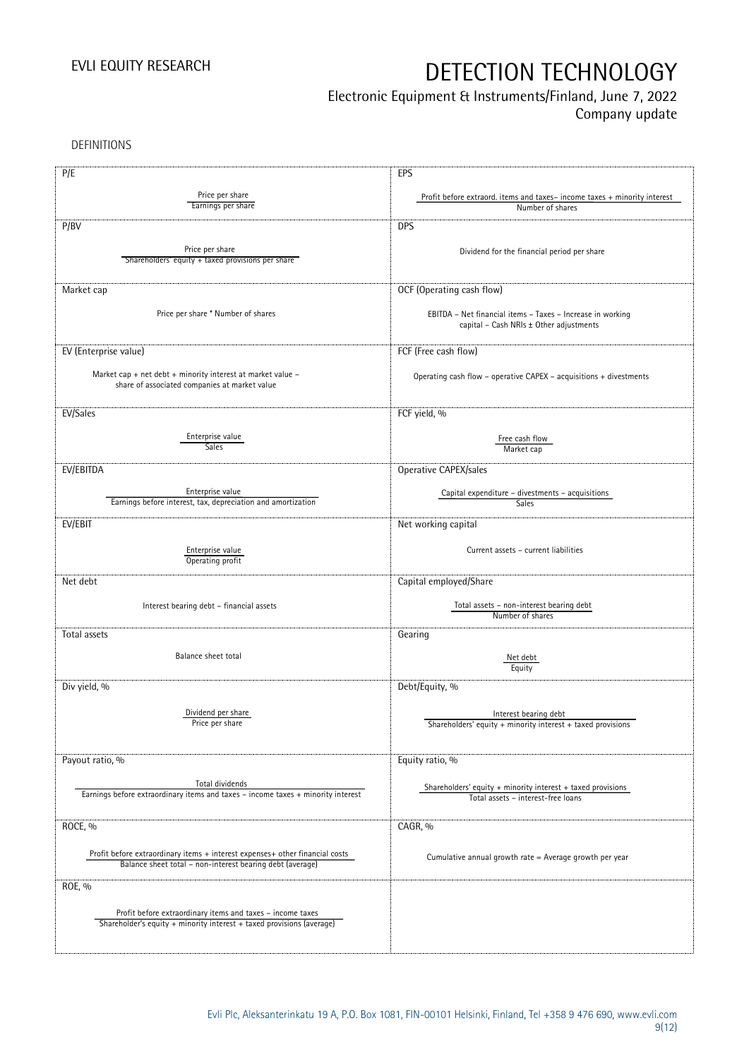## Electronic Equipment & Instruments/Finland, June 7, 2022

Company update

DEFINITIONS

| P/E                                                                                                                                       | EPS                                                                                                   |
|-------------------------------------------------------------------------------------------------------------------------------------------|-------------------------------------------------------------------------------------------------------|
| Price per share<br>Earnings per share                                                                                                     | Profit before extraord. items and taxes-income taxes + minority interest<br>Number of shares          |
| P/BV                                                                                                                                      | <b>DPS</b>                                                                                            |
| Price per share<br>Shareholders' equity + taxed provisions per share                                                                      | Dividend for the financial period per share                                                           |
| Market cap                                                                                                                                | OCF (Operating cash flow)                                                                             |
| Price per share * Number of shares                                                                                                        | EBITDA - Net financial items - Taxes - Increase in working<br>capital - Cash NRIs ± Other adjustments |
| EV (Enterprise value)                                                                                                                     | FCF (Free cash flow)                                                                                  |
| Market cap + net debt + minority interest at market value -<br>share of associated companies at market value                              | Operating cash flow – operative CAPEX – acquisitions + divestments                                    |
| EV/Sales                                                                                                                                  | FCF yield, %                                                                                          |
| Enterprise value<br><b>Sales</b>                                                                                                          | Free cash flow<br>Market cap                                                                          |
| EV/EBITDA                                                                                                                                 | Operative CAPEX/sales                                                                                 |
| Enterprise value<br>Earnings before interest, tax, depreciation and amortization                                                          | Capital expenditure - divestments - acquisitions<br>Sales                                             |
| EV/EBIT                                                                                                                                   | Net working capital                                                                                   |
| Enterprise value<br>Operating profit                                                                                                      | Current assets - current liabilities                                                                  |
| Net debt                                                                                                                                  | Capital employed/Share                                                                                |
| Interest bearing debt - financial assets                                                                                                  | Total assets - non-interest bearing debt<br>Number of shares                                          |
| Total assets                                                                                                                              | Gearing                                                                                               |
| Balance sheet total                                                                                                                       | Net debt<br>Equity                                                                                    |
| Div yield, %                                                                                                                              | Debt/Equity, %                                                                                        |
| Dividend per share<br>Price per share                                                                                                     | Interest bearing debt<br>Shareholders' equity + minority interest + taxed provisions                  |
| Payout ratio, %                                                                                                                           | Equity ratio, %                                                                                       |
| Total dividends<br>Earnings before extraordinary items and taxes - income taxes + minority interest                                       | Shareholders' equity $+$ minority interest $+$ taxed provisions<br>Total assets - interest-free loans |
| ROCE, %                                                                                                                                   | CAGR, %                                                                                               |
| Profit before extraordinary items + interest expenses+ other financial costs<br>Balance sheet total - non-interest bearing debt (average) | Cumulative annual growth rate = Average growth per year                                               |
| ROE, %                                                                                                                                    |                                                                                                       |
| Profit before extraordinary items and taxes - income taxes<br>Shareholder's equity + minority interest + taxed provisions (average)       |                                                                                                       |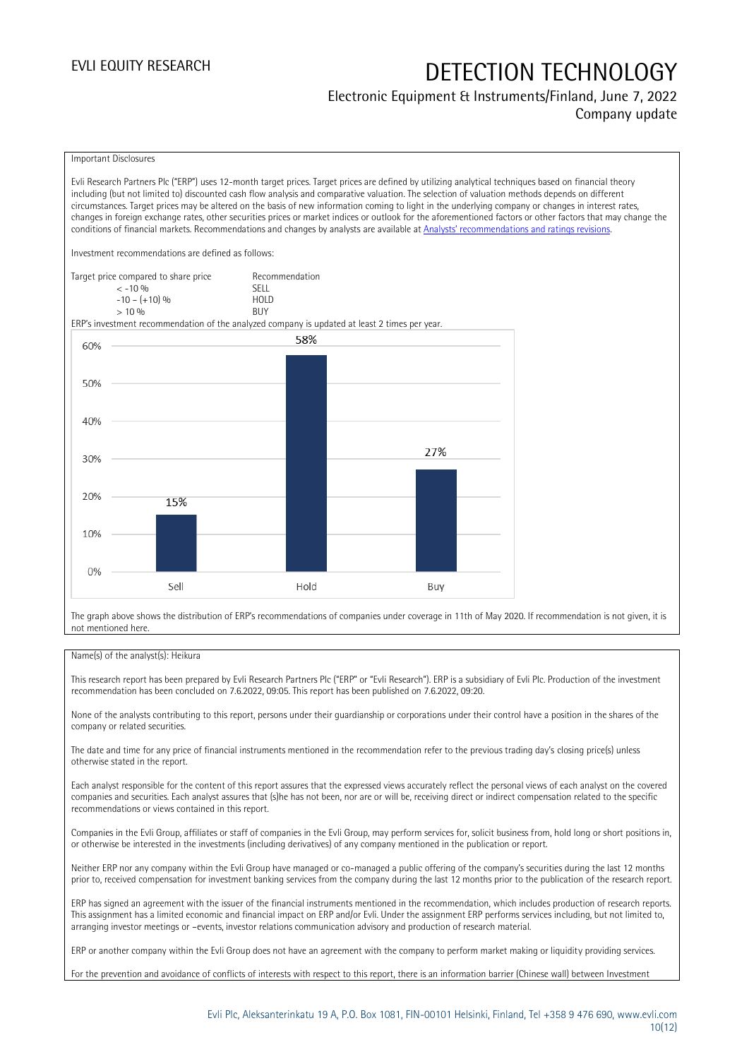### Electronic Equipment & Instruments/Finland, June 7, 2022 Company update

#### Important Disclosures

Evli Research Partners Plc ("ERP") uses 12-month target prices. Target prices are defined by utilizing analytical techniques based on financial theory including (but not limited to) discounted cash flow analysis and comparative valuation. The selection of valuation methods depends on different circumstances. Target prices may be altered on the basis of new information coming to light in the underlying company or changes in interest rates, changes in foreign exchange rates, other securities prices or market indices or outlook for the aforementioned factors or other factors that may change the conditions of financial markets. Recommendations and changes by analysts are available at [Analysts' recommendations and ratings revisions](https://research.evli.com/JasperAllModels.action?authParam=key;461&authParam=x;G3rNagWrtf7K&authType=3). Investment recommendations are defined as follows: Target price compared to share price Recommendation<br>CELL CALLO 06 < -10 % SELL  $-10 - (+10) \%$  HOL<br>  $> 10 \%$  BUY  $> 10\%$ ERP's investment recommendation of the analyzed company is updated at least 2 times per year. 58% 60% 50% 40% 27% 30% 20% 15% 10% 0% Sell Hold Buy

The graph above shows the distribution of ERP's recommendations of companies under coverage in 11th of May 2020. If recommendation is not given, it is not mentioned here.

#### Name(s) of the analyst(s): Heikura

This research report has been prepared by Evli Research Partners Plc ("ERP" or "Evli Research"). ERP is a subsidiary of Evli Plc. Production of the investment recommendation has been concluded on 7.6.2022, 09:05. This report has been published on 7.6.2022, 09:20.

None of the analysts contributing to this report, persons under their guardianship or corporations under their control have a position in the shares of the company or related securities.

The date and time for any price of financial instruments mentioned in the recommendation refer to the previous trading day's closing price(s) unless otherwise stated in the report.

Each analyst responsible for the content of this report assures that the expressed views accurately reflect the personal views of each analyst on the covered companies and securities. Each analyst assures that (s)he has not been, nor are or will be, receiving direct or indirect compensation related to the specific recommendations or views contained in this report.

Companies in the Evli Group, affiliates or staff of companies in the Evli Group, may perform services for, solicit business from, hold long or short positions in, or otherwise be interested in the investments (including derivatives) of any company mentioned in the publication or report.

Neither ERP nor any company within the Evli Group have managed or co-managed a public offering of the company's securities during the last 12 months prior to, received compensation for investment banking services from the company during the last 12 months prior to the publication of the research report.

ERP has signed an agreement with the issuer of the financial instruments mentioned in the recommendation, which includes production of research reports. This assignment has a limited economic and financial impact on ERP and/or Evli. Under the assignment ERP performs services including, but not limited to, arranging investor meetings or –events, investor relations communication advisory and production of research material.

ERP or another company within the Evli Group does not have an agreement with the company to perform market making or liquidity providing services.

For the prevention and avoidance of conflicts of interests with respect to this report, there is an information barrier (Chinese wall) between Investment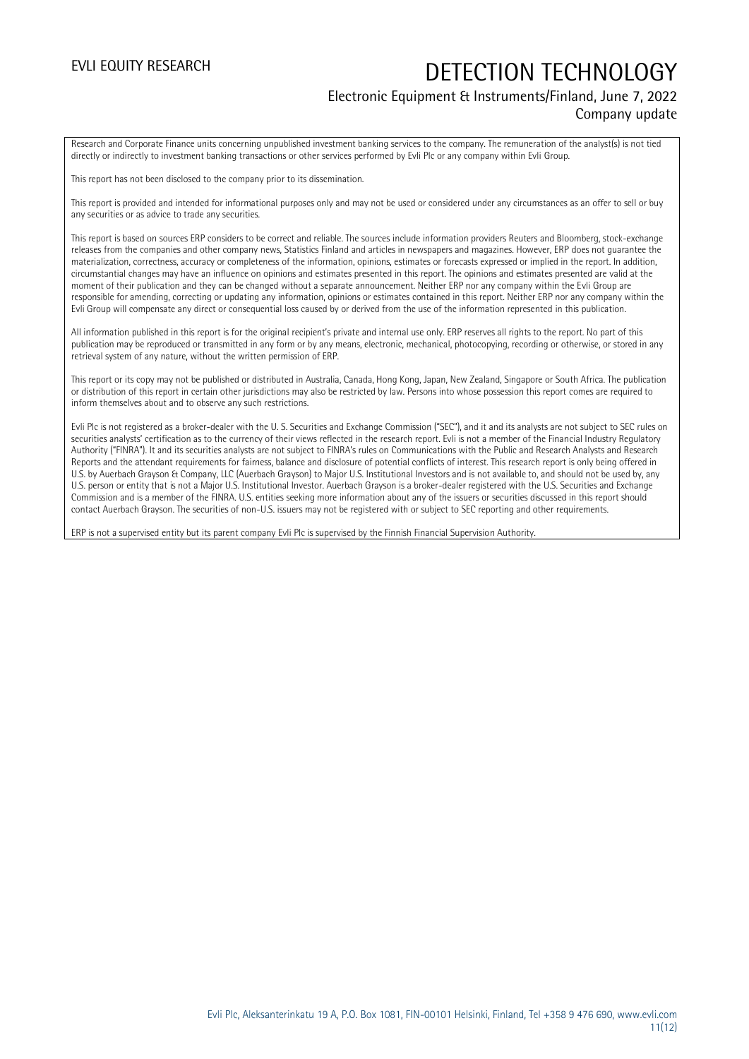### Electronic Equipment & Instruments/Finland, June 7, 2022 Company update

Research and Corporate Finance units concerning unpublished investment banking services to the company. The remuneration of the analyst(s) is not tied directly or indirectly to investment banking transactions or other services performed by Evli Plc or any company within Evli Group.

This report has not been disclosed to the company prior to its dissemination.

This report is provided and intended for informational purposes only and may not be used or considered under any circumstances as an offer to sell or buy any securities or as advice to trade any securities.

This report is based on sources ERP considers to be correct and reliable. The sources include information providers Reuters and Bloomberg, stock-exchange releases from the companies and other company news, Statistics Finland and articles in newspapers and magazines. However, ERP does not guarantee the materialization, correctness, accuracy or completeness of the information, opinions, estimates or forecasts expressed or implied in the report. In addition, circumstantial changes may have an influence on opinions and estimates presented in this report. The opinions and estimates presented are valid at the moment of their publication and they can be changed without a separate announcement. Neither ERP nor any company within the Evli Group are responsible for amending, correcting or updating any information, opinions or estimates contained in this report. Neither ERP nor any company within the Evli Group will compensate any direct or consequential loss caused by or derived from the use of the information represented in this publication.

All information published in this report is for the original recipient's private and internal use only. ERP reserves all rights to the report. No part of this publication may be reproduced or transmitted in any form or by any means, electronic, mechanical, photocopying, recording or otherwise, or stored in any retrieval system of any nature, without the written permission of ERP.

This report or its copy may not be published or distributed in Australia, Canada, Hong Kong, Japan, New Zealand, Singapore or South Africa. The publication or distribution of this report in certain other jurisdictions may also be restricted by law. Persons into whose possession this report comes are required to inform themselves about and to observe any such restrictions.

Evli Plc is not registered as a broker-dealer with the U. S. Securities and Exchange Commission ("SEC"), and it and its analysts are not subject to SEC rules on securities analysts' certification as to the currency of their views reflected in the research report. Evli is not a member of the Financial Industry Regulatory Authority ("FINRA"). It and its securities analysts are not subject to FINRA's rules on Communications with the Public and Research Analysts and Research Reports and the attendant requirements for fairness, balance and disclosure of potential conflicts of interest. This research report is only being offered in U.S. by Auerbach Grayson & Company, LLC (Auerbach Grayson) to Major U.S. Institutional Investors and is not available to, and should not be used by, any U.S. person or entity that is not a Major U.S. Institutional Investor. Auerbach Grayson is a broker-dealer registered with the U.S. Securities and Exchange Commission and is a member of the FINRA. U.S. entities seeking more information about any of the issuers or securities discussed in this report should contact Auerbach Grayson. The securities of non-U.S. issuers may not be registered with or subject to SEC reporting and other requirements.

ERP is not a supervised entity but its parent company Evli Plc is supervised by the Finnish Financial Supervision Authority.